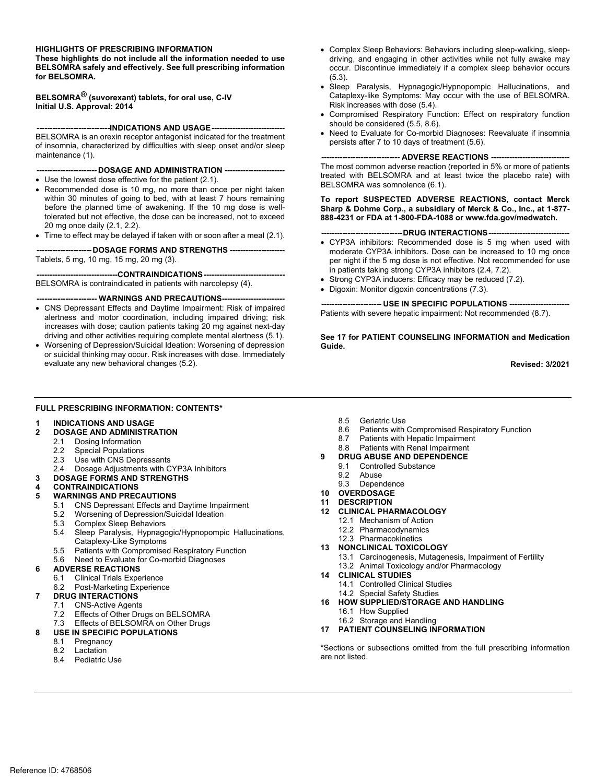#### **HIGHLIGHTS OF PRESCRIBING INFORMATION**

**These highlights do not include all the information needed to use BELSOMRA safely and effectively. See full prescribing information for BELSOMRA.** 

**BELSOMRA® (suvorexant) tablets, for oral use, C-IV Initial U.S. Approval: 2014** 

**----------------------------INDICATIONS AND USAGE----------------------------** 

 BELSOMRA is an orexin receptor antagonist indicated for the treatment of insomnia, characterized by difficulties with sleep onset and/or sleep maintenance (1).

 ---- DOSAGE AND ADMINISTRATION ----

- Use the lowest dose effective for the patient (2.1).
- Recommended dose is 10 mg, no more than once per night taken within 30 minutes of going to bed, with at least 7 hours remaining before the planned time of awakening. If the 10 mg dose is welltolerated but not effective, the dose can be increased, not to exceed 20 mg once daily (2.1, 2.2).
- Time to effect may be delayed if taken with or soon after a meal (2.1).

**--------------------- DOSAGE FORMS AND STRENGTHS ---------------------**  Tablets, 5 mg, 10 mg, 15 mg, 20 mg (3).

 **------------------------------- CONTRAINDICATIONS-------------------------------** BELSOMRA is contraindicated in patients with narcolepsy (4).

**----------------------- WARNINGS AND PRECAUTIONS------------------------** 

- CNS Depressant Effects and Daytime Impairment: Risk of impaired alertness and motor coordination, including impaired driving; risk increases with dose; caution patients taking 20 mg against next-day driving and other activities requiring complete mental alertness (5.1).
- Worsening of Depression/Suicidal Ideation: Worsening of depression or suicidal thinking may occur. Risk increases with dose. Immediately evaluate any new behavioral changes (5.2).
- **FULL PRESCRIBING INFORMATION: CONTENTS\***

#### **1 INDICATIONS AND USAGE**

- **2 DOSAGE AND ADMINISTRATION** 
	- 2.1 Dosing Information
	- 2.2 Special Populations
	- 2.3 Use with CNS Depressants
	- 2.4 Dosage Adjustments with CYP3A Inhibitors
- **3 DOSAGE FORMS AND STRENGTHS**

# **4 CONTRAINDICATIONS**

#### **5 WARNINGS AND PRECAUTIONS**

- 5.1 CNS Depressant Effects and Daytime Impairment
- 5.2 Worsening of Depression/Suicidal Ideation
- 5.3 Complex Sleep Behaviors<br>5.4 Sleep Paralysis, Hypnago
- Sleep Paralysis, Hypnagogic/Hypnopompic Hallucinations, Cataplexy-Like Symptoms
- 5.5 Patients with Compromised Respiratory Function
- 5.6 Need to Evaluate for Co-morbid Diagnoses

#### **6 ADVERSE REACTIONS**

- 6.1 Clinical Trials Experience
- 6.2 Post-Marketing Experience

#### **7 DRUG INTERACTIONS**

- 7.1 CNS-Active Agents
- 7.2 Effects of Other Drugs on BELSOMRA
- 7.3 Effects of BELSOMRA on Other Drugs
- **8 USE IN SPECIFIC POPULATIONS** 
	- 8.1 Pregnancy 8.2 Lactation
	-
	- 8.4 Pediatric Use
- Complex Sleep Behaviors: Behaviors including sleep-walking, sleepdriving, and engaging in other activities while not fully awake may occur. Discontinue immediately if a complex sleep behavior occurs (5.3).
- Sleep Paralysis, Hypnagogic/Hypnopompic Hallucinations, and Cataplexy-like Symptoms: May occur with the use of BELSOMRA. Risk increases with dose (5.4).
- Compromised Respiratory Function: Effect on respiratory function should be considered (5.5, 8.6).
- Need to Evaluate for Co-morbid Diagnoses: Reevaluate if insomnia persists after 7 to 10 days of treatment (5.6).

**---- ADVERSE REACTIONS --**

 treated with BELSOMRA and at least twice the placebo rate) with The most common adverse reaction (reported in 5% or more of patients BELSOMRA was somnolence (6.1).

**To report SUSPECTED ADVERSE REACTIONS, contact Merck Sharp & Dohme Corp., a subsidiary of Merck & Co., Inc., at 1-877- 888-4231 or FDA at 1-800-FDA-1088 or www.fda.gov/medwatch.** 

- ---DRUG INTERACTIONS --
- CYP3A inhibitors: Recommended dose is 5 mg when used with moderate CYP3A inhibitors. Dose can be increased to 10 mg once per night if the 5 mg dose is not effective. Not recommended for use in patients taking strong CYP3A inhibitors (2.4, 7.2).
- Strong CYP3A inducers: Efficacy may be reduced (7.2).
- Digoxin: Monitor digoxin concentrations (7.3).

**------ USE IN SPECIFIC POPULATIONS ----**Patients with severe hepatic impairment: Not recommended (8.7).

 **See 17 for PATIENT COUNSELING INFORMATION and Medication Guide.** 

**Revised: 3/2021** 

- 8.5 Geriatric Use
- 8.6 Patients with Compromised Respiratory Function
- 8.7 Patients with Hepatic Impairment
- 8.8 Patients with Renal Impairment
- **9 DRUG ABUSE AND DEPENDENCE** 
	- 9.1 Controlled Substance
	- 9.2 Abuse
	- 9.3 Dependence
- **10 OVERDOSAGE**
- **11 DESCRIPTION**
- **12 CLINICAL PHARMACOLOGY** 
	- 12.1 Mechanism of Action
	- 12.2 Pharmacodynamics
	- 12.3 Pharmacokinetics
- **13 NONCLINICAL TOXICOLOGY**  13.1 Carcinogenesis, Mutagenesis, Impairment of Fertility
- 13.2 Animal Toxicology and/or Pharmacology **14 CLINICAL STUDIES**
- 14.1 Controlled Clinical Studies 14.2 Special Safety Studies
- **16 HOW SUPPLIED/STORAGE AND HANDLING** 16.1 How Supplied
	- 16.2 Storage and Handling
- **17 PATIENT COUNSELING INFORMATION**

**\***Sections or subsections omitted from the full prescribing information are not listed.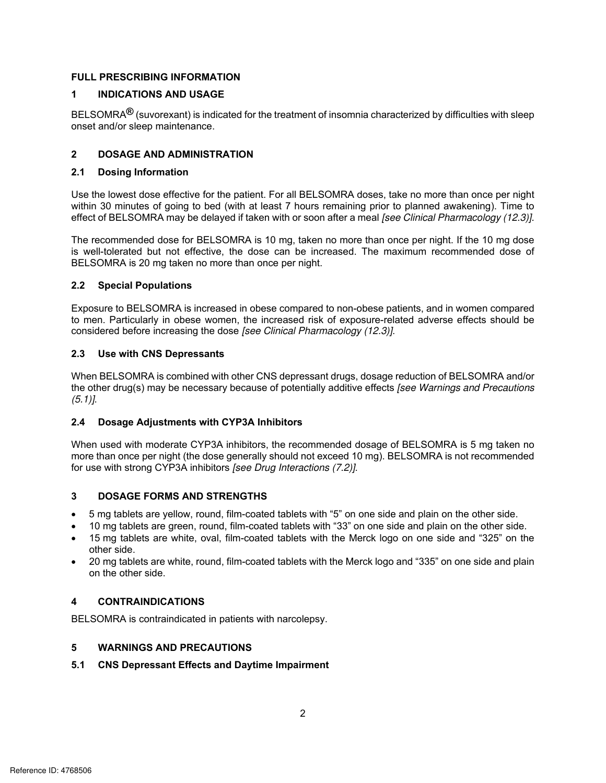#### **FULL PRESCRIBING INFORMATION**

#### **1 INDICATIONS AND USAGE**

BELSOMRA**®** (suvorexant) is indicated for the treatment of insomnia characterized by difficulties with sleep onset and/or sleep maintenance.

## **2 DOSAGE AND ADMINISTRATION**

#### **2.1 Dosing Information**

Use the lowest dose effective for the patient. For all BELSOMRA doses, take no more than once per night within 30 minutes of going to bed (with at least 7 hours remaining prior to planned awakening). Time to effect of BELSOMRA may be delayed if taken with or soon after a meal [see Clinical Pharmacology (12.3)].

The recommended dose for BELSOMRA is 10 mg, taken no more than once per night. If the 10 mg dose is well-tolerated but not effective, the dose can be increased. The maximum recommended dose of BELSOMRA is 20 mg taken no more than once per night.

#### **2.2 Special Populations**

 Exposure to BELSOMRA is increased in obese compared to non-obese patients, and in women compared to men. Particularly in obese women, the increased risk of exposure-related adverse effects should be considered before increasing the dose [see Clinical Pharmacology (12.3)].

#### **2.3 Use with CNS Depressants**

When BELSOMRA is combined with other CNS depressant drugs, dosage reduction of BELSOMRA and/or the other drug(s) may be necessary because of potentially additive effects [see Warnings and Precautions  $(5.1)$ ].

#### **2.4 Dosage Adjustments with CYP3A Inhibitors**

 When used with moderate CYP3A inhibitors, the recommended dosage of BELSOMRA is 5 mg taken no more than once per night (the dose generally should not exceed 10 mg). BELSOMRA is not recommended for use with strong CYP3A inhibitors [see Drug Interactions (7.2)].

#### **3 DOSAGE FORMS AND STRENGTHS**

- 5 mg tablets are yellow, round, film-coated tablets with "5" on one side and plain on the other side.
- 10 mg tablets are green, round, film-coated tablets with "33" on one side and plain on the other side.
- 15 mg tablets are white, oval, film-coated tablets with the Merck logo on one side and "325" on the other side.
- 20 mg tablets are white, round, film-coated tablets with the Merck logo and "335" on one side and plain on the other side.

## **4 CONTRAINDICATIONS**

BELSOMRA is contraindicated in patients with narcolepsy.

## **5 WARNINGS AND PRECAUTIONS**

#### **5.1 CNS Depressant Effects and Daytime Impairment**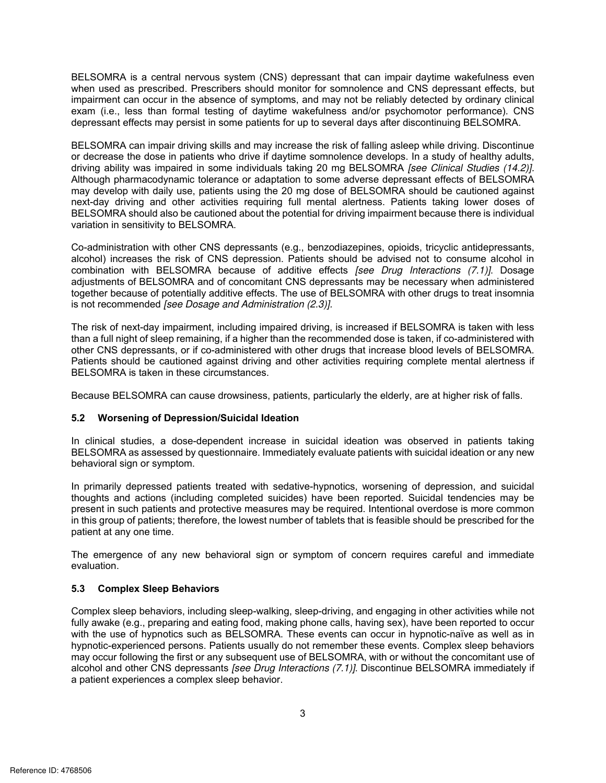BELSOMRA is a central nervous system (CNS) depressant that can impair daytime wakefulness even when used as prescribed. Prescribers should monitor for somnolence and CNS depressant effects, but impairment can occur in the absence of symptoms, and may not be reliably detected by ordinary clinical exam (i.e., less than formal testing of daytime wakefulness and/or psychomotor performance). CNS depressant effects may persist in some patients for up to several days after discontinuing BELSOMRA.

 BELSOMRA can impair driving skills and may increase the risk of falling asleep while driving. Discontinue or decrease the dose in patients who drive if daytime somnolence develops. In a study of healthy adults, Although pharmacodynamic tolerance or adaptation to some adverse depressant effects of BELSOMRA next-day driving and other activities requiring full mental alertness. Patients taking lower doses of driving ability was impaired in some individuals taking 20 mg BELSOMRA [see Clinical Studies (14.2)]. may develop with daily use, patients using the 20 mg dose of BELSOMRA should be cautioned against BELSOMRA should also be cautioned about the potential for driving impairment because there is individual variation in sensitivity to BELSOMRA.

 Co-administration with other CNS depressants (e.g., benzodiazepines, opioids, tricyclic antidepressants, alcohol) increases the risk of CNS depression. Patients should be advised not to consume alcohol in is not recommended [see Dosage and Administration (2.3)]. idepressants,<br>me alcohol in<br>7.*1)]*. Dosage<br>administered<br>reat insomnia combination with BELSOMRA because of additive effects [see Drug Interactions (7.1)]. Dosage adjustments of BELSOMRA and of concomitant CNS depressants may be necessary when administered together because of potentially additive effects. The use of BELSOMRA with other drugs to treat insomnia

 than a full night of sleep remaining, if a higher than the recommended dose is taken, if co-administered with other CNS depressants, or if co-administered with other drugs that increase blood levels of BELSOMRA. BELSOMRA is taken in these circumstances. The risk of next-day impairment, including impaired driving, is increased if BELSOMRA is taken with less Patients should be cautioned against driving and other activities requiring complete mental alertness if

Because BELSOMRA can cause drowsiness, patients, particularly the elderly, are at higher risk of falls.

## **5.2 Worsening of Depression/Suicidal Ideation**

 In clinical studies, a dose-dependent increase in suicidal ideation was observed in patients taking BELSOMRA as assessed by questionnaire. Immediately evaluate patients with suicidal ideation or any new behavioral sign or symptom.

 thoughts and actions (including completed suicides) have been reported. Suicidal tendencies may be In primarily depressed patients treated with sedative-hypnotics, worsening of depression, and suicidal present in such patients and protective measures may be required. Intentional overdose is more common in this group of patients; therefore, the lowest number of tablets that is feasible should be prescribed for the patient at any one time.

The emergence of any new behavioral sign or symptom of concern requires careful and immediate evaluation.

#### **5.3 Complex Sleep Behaviors**

 Complex sleep behaviors, including sleep-walking, sleep-driving, and engaging in other activities while not with the use of hypnotics such as BELSOMRA. These events can occur in hypnotic-naïve as well as in hypnotic-experienced persons. Patients usually do not remember these events. Complex sleep behaviors alcohol and other CNS depressants *[see Drug Interactions (7.1)].* Discontinue BELSOMRA immediately if fully awake (e.g., preparing and eating food, making phone calls, having sex), have been reported to occur may occur following the first or any subsequent use of BELSOMRA, with or without the concomitant use of a patient experiences a complex sleep behavior.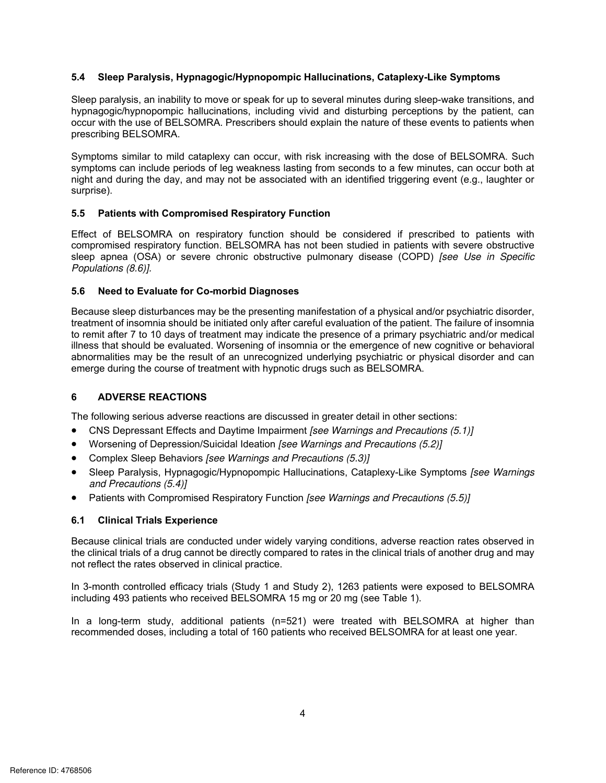#### **5.4 Sleep Paralysis, Hypnagogic/Hypnopompic Hallucinations, Cataplexy-Like Symptoms**

 $\mathfrak{g}_{\mathfrak{g}}$ <br>and  $\mathfrak{g}_{\mathfrak{g}}$ Sleep paralysis, an inability to move or speak for up to several minutes during sleep-wake transitions, and hypnagogic/hypnopompic hallucinations, including vivid and disturbing perceptions by the patient, can occur with the use of BELSOMRA. Prescribers should explain the nature of these events to patients when prescribing BELSOMRA.

 symptoms can include periods of leg weakness lasting from seconds to a few minutes, can occur both at Symptoms similar to mild cataplexy can occur, with risk increasing with the dose of BELSOMRA. Such night and during the day, and may not be associated with an identified triggering event (e.g., laughter or surprise).

#### **5.5 Patients with Compromised Respiratory Function**

 Effect of BELSOMRA on respiratory function should be considered if prescribed to patients with compromised respiratory function. BELSOMRA has not been studied in patients with severe obstructive sleep apnea (OSA) or severe chronic obstructive pulmonary disease (COPD) [see Use in Specific Populations (8.6)].

#### **5.6 Need to Evaluate for Co-morbid Diagnoses**

 Because sleep disturbances may be the presenting manifestation of a physical and/or psychiatric disorder, to remit after 7 to 10 days of treatment may indicate the presence of a primary psychiatric and/or medical illness that should be evaluated. Worsening of insomnia or the emergence of new cognitive or behavioral abnormalities may be the result of an unrecognized underlying psychiatric or physical disorder and can treatment of insomnia should be initiated only after careful evaluation of the patient. The failure of insomnia emerge during the course of treatment with hypnotic drugs such as BELSOMRA.

## **6 ADVERSE REACTIONS**

The following serious adverse reactions are discussed in greater detail in other sections:

- CNS Depressant Effects and Daytime Impairment [see Warnings and Precautions (5.1)]
- Worsening of Depression/Suicidal Ideation *[see Warnings and Precautions (5.2)*]
- Complex Sleep Behaviors [see Warnings and Precautions (5.3)]
- Sleep Paralysis, Hypnagogic/Hypnopompic Hallucinations, Cataplexy-Like Symptoms [see Warnings] and Precautions (5.4)]
- Patients with Compromised Respiratory Function [see Warnings and Precautions (5.5)]

#### **6.1 Clinical Trials Experience**

 Because clinical trials are conducted under widely varying conditions, adverse reaction rates observed in not reflect the rates observed in clinical practice. the clinical trials of a drug cannot be directly compared to rates in the clinical trials of another drug and may

 In 3-month controlled efficacy trials (Study 1 and Study 2), 1263 patients were exposed to BELSOMRA including 493 patients who received BELSOMRA 15 mg or 20 mg (see Table 1).

In a long-term study, additional patients (n=521) were treated with BELSOMRA at higher than recommended doses, including a total of 160 patients who received BELSOMRA for at least one year.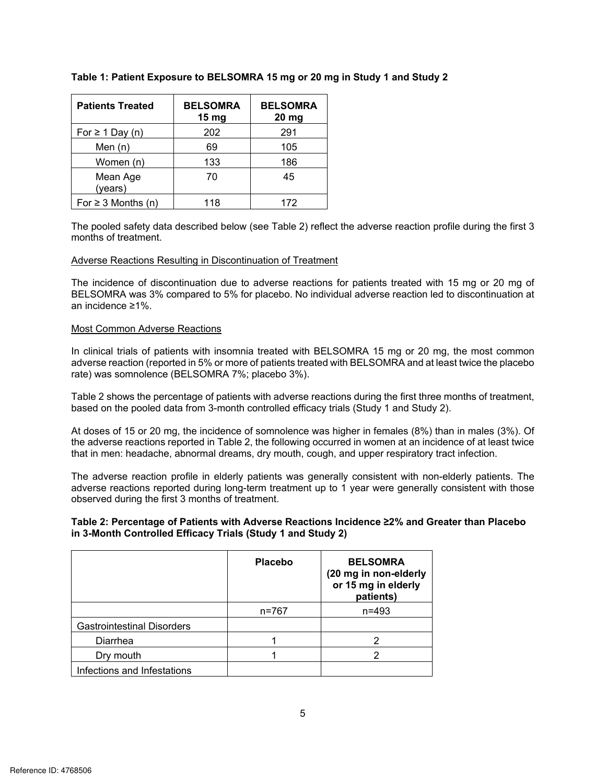| <b>Patients Treated</b> | <b>BELSOMRA</b><br>15 <sub>mg</sub> | <b>BELSOMRA</b><br>20 <sub>mg</sub> |
|-------------------------|-------------------------------------|-------------------------------------|
| For $\geq 1$ Day (n)    | 202                                 | 291                                 |
| Men $(n)$               | 69                                  | 105                                 |
| Women (n)               | 133                                 | 186                                 |
| Mean Age<br>(years)     | 70                                  | 45                                  |
| For $\geq 3$ Months (n) | 118                                 | 172                                 |

## **Table 1: Patient Exposure to BELSOMRA 15 mg or 20 mg in Study 1 and Study 2**

 The pooled safety data described below (see Table 2) reflect the adverse reaction profile during the first 3 months of treatment.

#### Adverse Reactions Resulting in Discontinuation of Treatment

 The incidence of discontinuation due to adverse reactions for patients treated with 15 mg or 20 mg of BELSOMRA was 3% compared to 5% for placebo. No individual adverse reaction led to discontinuation at an incidence ≥1%.

#### Most Common Adverse Reactions

In clinical trials of patients with insomnia treated with BELSOMRA 15 mg or 20 mg, the most common adverse reaction (reported in 5% or more of patients treated with BELSOMRA and at least twice the placebo rate) was somnolence (BELSOMRA 7%; placebo 3%).

 Table 2 shows the percentage of patients with adverse reactions during the first three months of treatment, based on the pooled data from 3-month controlled efficacy trials (Study 1 and Study 2).

At doses of 15 or 20 mg, the incidence of somnolence was higher in females (8%) than in males (3%). Of the adverse reactions reported in Table 2, the following occurred in women at an incidence of at least twice that in men: headache, abnormal dreams, dry mouth, cough, and upper respiratory tract infection.

 adverse reactions reported during long-term treatment up to 1 year were generally consistent with those The adverse reaction profile in elderly patients was generally consistent with non-elderly patients. The observed during the first 3 months of treatment.

#### **Table 2: Percentage of Patients with Adverse Reactions Incidence ≥2% and Greater than Placebo in 3-Month Controlled Efficacy Trials (Study 1 and Study 2)**

|                                   | <b>Placebo</b> | <b>BELSOMRA</b><br>(20 mg in non-elderly<br>or 15 mg in elderly<br>patients) |
|-----------------------------------|----------------|------------------------------------------------------------------------------|
|                                   | n=767          | $n = 493$                                                                    |
| <b>Gastrointestinal Disorders</b> |                |                                                                              |
| Diarrhea                          |                |                                                                              |
| Dry mouth                         |                |                                                                              |
| Infections and Infestations       |                |                                                                              |

Reference ID: 4768506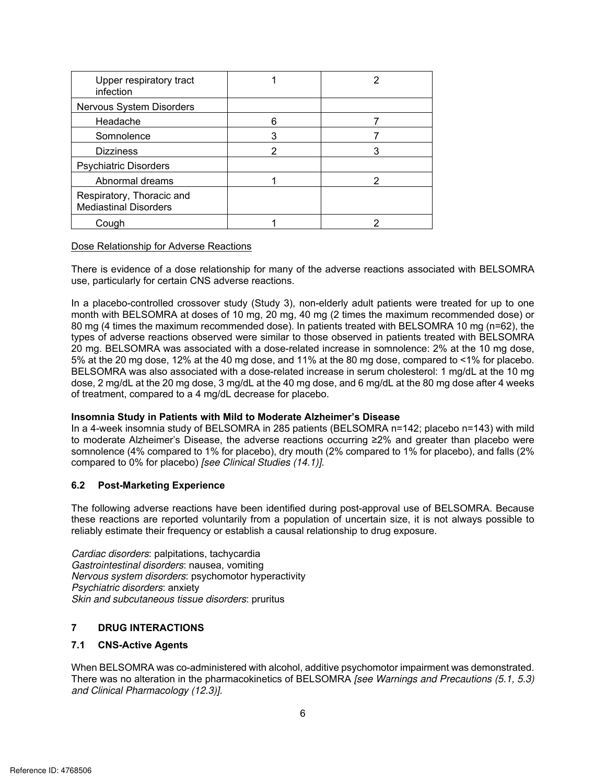| Upper respiratory tract<br>infection                      |   |  |
|-----------------------------------------------------------|---|--|
| Nervous System Disorders                                  |   |  |
| Headache                                                  | 6 |  |
| Somnolence                                                |   |  |
| <b>Dizziness</b>                                          | 2 |  |
| <b>Psychiatric Disorders</b>                              |   |  |
| Abnormal dreams                                           |   |  |
| Respiratory, Thoracic and<br><b>Mediastinal Disorders</b> |   |  |
| Cough                                                     |   |  |

Dose Relationship for Adverse Reactions

 There is evidence of a dose relationship for many of the adverse reactions associated with BELSOMRA use, particularly for certain CNS adverse reactions.

 month with BELSOMRA at doses of 10 mg, 20 mg, 40 mg (2 times the maximum recommended dose) or types of adverse reactions observed were similar to those observed in patients treated with BELSOMRA 5% at the 20 mg dose, 12% at the 40 mg dose, and 11% at the 80 mg dose, compared to <1% for placebo. dose, 2 mg/dL at the 20 mg dose, 3 mg/dL at the 40 mg dose, and 6 mg/dL at the 80 mg dose after 4 weeks In a placebo-controlled crossover study (Study 3), non-elderly adult patients were treated for up to one 80 mg (4 times the maximum recommended dose). In patients treated with BELSOMRA 10 mg (n=62), the 20 mg. BELSOMRA was associated with a dose-related increase in somnolence: 2% at the 10 mg dose, BELSOMRA was also associated with a dose-related increase in serum cholesterol: 1 mg/dL at the 10 mg of treatment, compared to a 4 mg/dL decrease for placebo.

#### **Insomnia Study in Patients with Mild to Moderate Alzheimer's Disease**

 to moderate Alzheimer's Disease, the adverse reactions occurring ≥2% and greater than placebo were In a 4-week insomnia study of BELSOMRA in 285 patients (BELSOMRA n=142; placebo n=143) with mild somnolence (4% compared to 1% for placebo), dry mouth (2% compared to 1% for placebo), and falls (2% compared to 0% for placebo) [see Clinical Studies (14.1)].

## **6.2 Post-Marketing Experience**

0% for placebo) *[see Clinical Studies (14.1)]*.<br>**arketing Experience**<br>adverse reactions have been identified during post-approval use of BELSOMRA. Because<br>ns are reported voluntarily from a population of uncertain size, i The following adverse reactions have been identified during post-approval use of BELSOMRA. Because these reactions are reported voluntarily from a population of uncertain size, it is not always possible to reliably estimate their frequency or establish a causal relationship to drug exposure.

Cardiac disorders: palpitations, tachycardia Gastrointestinal disorders: nausea, vomiting Nervous system disorders: psychomotor hyperactivity Psychiatric disorders: anxiety Skin and subcutaneous tissue disorders: pruritus

#### **7 DRUG INTERACTIONS**

#### **7.1 CNS-Active Agents**

When BELSOMRA was co-administered with alcohol, additive psychomotor impairment was demonstrated. There was no alteration in the pharmacokinetics of BELSOMRA [see Warnings and Precautions (5.1, 5.3) and Clinical Pharmacology (12.3)].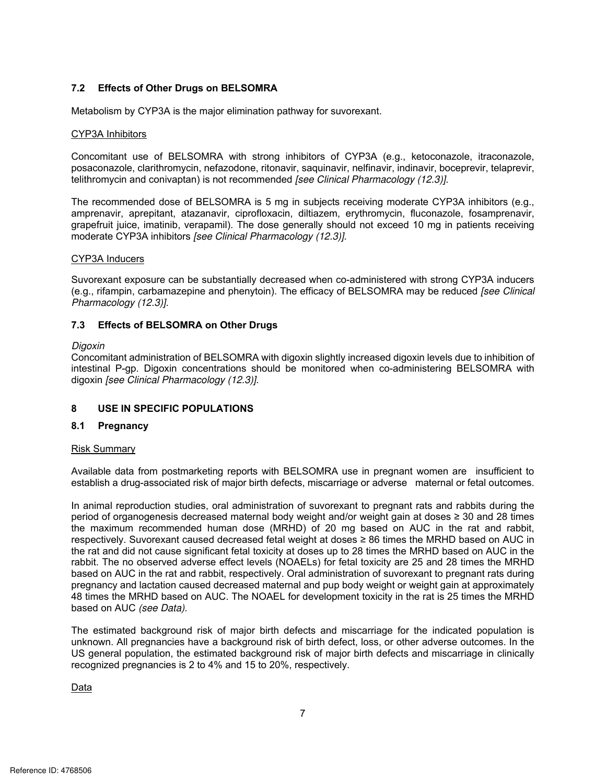#### **7.2 Effects of Other Drugs on BELSOMRA**

Metabolism by CYP3A is the major elimination pathway for suvorexant.

#### CYP3A Inhibitors

re youther and in the major elimination pathway for suvorexant.<br>The SELSOMRA with strong inhibitors of CYP3A (e.g., ketoconazole, itraconazole,<br>The prithromycin, nefazodone, ritonavir, saquinavir, nelfinavir, indinavir, bo Concomitant use of BELSOMRA with strong inhibitors of CYP3A (e.g., ketoconazole, itraconazole, posaconazole, clarithromycin, nefazodone, ritonavir, saquinavir, nelfinavir, indinavir, boceprevir, telaprevir, telithromycin and conivaptan) is not recommended [see Clinical Pharmacology (12.3)].

 The recommended dose of BELSOMRA is 5 mg in subjects receiving moderate CYP3A inhibitors (e.g., amprenavir, aprepitant, atazanavir, ciprofloxacin, diltiazem, erythromycin, fluconazole, fosamprenavir, grapefruit juice, imatinib, verapamil). The dose generally should not exceed 10 mg in patients receiving moderate CYP3A inhibitors [see Clinical Pharmacology (12.3)].

#### CYP3A Inducers

Suvorexant exposure can be substantially decreased when co-administered with strong CYP3A inducers (e.g., rifampin, carbamazepine and phenytoin). The efficacy of BELSOMRA may be reduced [see Clinical Pharmacology (12.3)].

#### **7.3 Effects of BELSOMRA on Other Drugs**

#### Digoxin

 Concomitant administration of BELSOMRA with digoxin slightly increased digoxin levels due to inhibition of intestinal P-gp. Digoxin concentrations should be monitored when co-administering BELSOMRA with digoxin [see Clinical Pharmacology (12.3)].

#### **8 USE IN SPECIFIC POPULATIONS**

#### **8.1 Pregnancy**

#### Risk Summary

 Available data from postmarketing reports with BELSOMRA use in pregnant women are insufficient to establish a drug-associated risk of major birth defects, miscarriage or adverse maternal or fetal outcomes.

 In animal reproduction studies, oral administration of suvorexant to pregnant rats and rabbits during the respectively. Suvorexant caused decreased fetal weight at doses ≥ 86 times the MRHD based on AUC in pregnancy and lactation caused decreased maternal and pup body weight or weight gain at approximately period of organogenesis decreased maternal body weight and/or weight gain at doses ≥ 30 and 28 times the maximum recommended human dose (MRHD) of 20 mg based on AUC in the rat and rabbit, the rat and did not cause significant fetal toxicity at doses up to 28 times the MRHD based on AUC in the rabbit. The no observed adverse effect levels (NOAELs) for fetal toxicity are 25 and 28 times the MRHD based on AUC in the rat and rabbit, respectively. Oral administration of suvorexant to pregnant rats during 48 times the MRHD based on AUC. The NOAEL for development toxicity in the rat is 25 times the MRHD based on AUC (see Data).

 US general population, the estimated background risk of major birth defects and miscarriage in clinically The estimated background risk of major birth defects and miscarriage for the indicated population is unknown. All pregnancies have a background risk of birth defect, loss, or other adverse outcomes. In the recognized pregnancies is 2 to 4% and 15 to 20%, respectively.

Data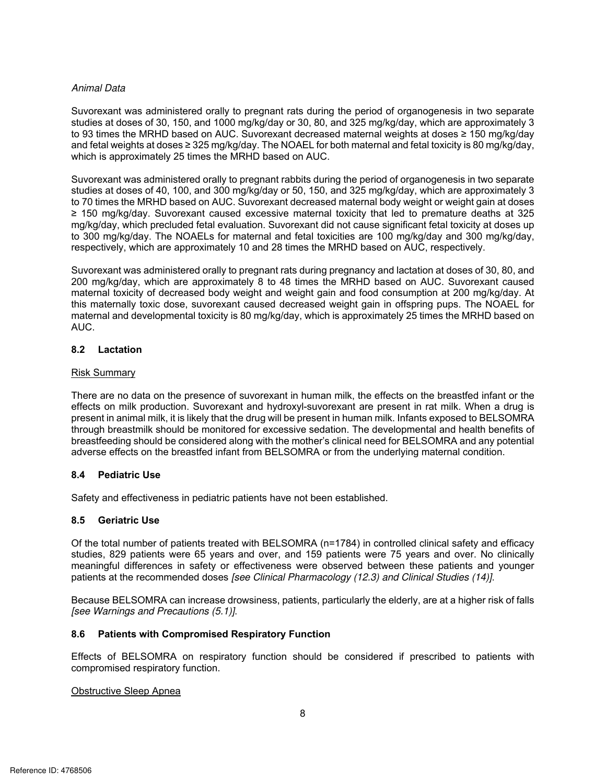#### Animal Data

 and fetal weights at doses ≥ 325 mg/kg/day. The NOAEL for both maternal and fetal toxicity is 80 mg/kg/day, Suvorexant was administered orally to pregnant rats during the period of organogenesis in two separate studies at doses of 30, 150, and 1000 mg/kg/day or 30, 80, and 325 mg/kg/day, which are approximately 3 to 93 times the MRHD based on AUC. Suvorexant decreased maternal weights at doses ≥ 150 mg/kg/day which is approximately 25 times the MRHD based on AUC.

 Suvorexant was administered orally to pregnant rabbits during the period of organogenesis in two separate to 70 times the MRHD based on AUC. Suvorexant decreased maternal body weight or weight gain at doses mg/kg/day, which precluded fetal evaluation. Suvorexant did not cause significant fetal toxicity at doses up to 300 mg/kg/day. The NOAELs for maternal and fetal toxicities are 100 mg/kg/day and 300 mg/kg/day, studies at doses of 40, 100, and 300 mg/kg/day or 50, 150, and 325 mg/kg/day, which are approximately 3 ≥ 150 mg/kg/day. Suvorexant caused excessive maternal toxicity that led to premature deaths at 325 respectively, which are approximately 10 and 28 times the MRHD based on AUC, respectively.

 200 mg/kg/day, which are approximately 8 to 48 times the MRHD based on AUC. Suvorexant caused this maternally toxic dose, suvorexant caused decreased weight gain in offspring pups. The NOAEL for Suvorexant was administered orally to pregnant rats during pregnancy and lactation at doses of 30, 80, and maternal toxicity of decreased body weight and weight gain and food consumption at 200 mg/kg/day. At maternal and developmental toxicity is 80 mg/kg/day, which is approximately 25 times the MRHD based on AUC.

#### **8.2 Lactation**

#### Risk Summary

 There are no data on the presence of suvorexant in human milk, the effects on the breastfed infant or the effects on milk production. Suvorexant and hydroxyl-suvorexant are present in rat milk. When a drug is breastfeeding should be considered along with the mother's clinical need for BELSOMRA and any potential present in animal milk, it is likely that the drug will be present in human milk. Infants exposed to BELSOMRA through breastmilk should be monitored for excessive sedation. The developmental and health benefits of adverse effects on the breastfed infant from BELSOMRA or from the underlying maternal condition.

## **8.4 Pediatric Use**

Safety and effectiveness in pediatric patients have not been established.

## **8.5 Geriatric Use**

 meaningful differences in safety or effectiveness were observed between these patients and younger Of the total number of patients treated with BELSOMRA (n=1784) in controlled clinical safety and efficacy studies, 829 patients were 65 years and over, and 159 patients were 75 years and over. No clinically patients at the recommended doses [see Clinical Pharmacology (12.3) and Clinical Studies (14)].

 Because BELSOMRA can increase drowsiness, patients, particularly the elderly, are at a higher risk of falls [see Warnings and Precautions (5.1)].

## **8.6 Patients with Compromised Respiratory Function**

 compromised respiratory function. Effects of BELSOMRA on respiratory function should be considered if prescribed to patients with

# youtube Sleep Apnears and the Sleep Apnears of the Sleep Apnears and the Sleep Apnears and the Sleep Apnears and the Sleep Apnears and the Sleep Apnears and the Sleep Apnears and the Sleep Apnears and the Sleep Apnears and Obstructive Sleep Apnea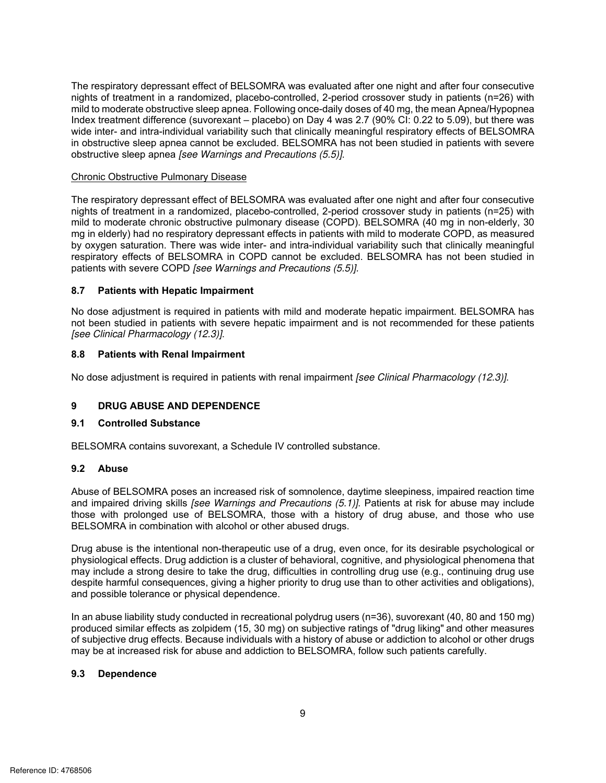mild to moderate obstructive sleep apnea. Following once-daily doses of 40 mg, the mean Apnea/Hypopnea in obstructive sleep apnea cannot be excluded. BELSOMRA has not been studied in patients with severe The respiratory depressant effect of BELSOMRA was evaluated after one night and after four consecutive nights of treatment in a randomized, placebo-controlled, 2-period crossover study in patients (n=26) with Index treatment difference (suvorexant – placebo) on Day 4 was 2.7 (90% CI: 0.22 to 5.09), but there was wide inter- and intra-individual variability such that clinically meaningful respiratory effects of BELSOMRA obstructive sleep apnea [see Warnings and Precautions (5.5)].

#### Chronic Obstructive Pulmonary Disease

 by oxygen saturation. There was wide inter- and intra-individual variability such that clinically meaningful The respiratory depressant effect of BELSOMRA was evaluated after one night and after four consecutive nights of treatment in a randomized, placebo-controlled, 2-period crossover study in patients (n=25) with mild to moderate chronic obstructive pulmonary disease (COPD). BELSOMRA (40 mg in non-elderly, 30 mg in elderly) had no respiratory depressant effects in patients with mild to moderate COPD, as measured respiratory effects of BELSOMRA in COPD cannot be excluded. BELSOMRA has not been studied in patients with severe COPD [see Warnings and Precautions (5.5)].

#### **8.7 Patients with Hepatic Impairment**

has not been studied in<br>nairment. BELSOMRA has<br>nended for these patients No dose adjustment is required in patients with mild and moderate hepatic impairment. BELSOMRA has not been studied in patients with severe hepatic impairment and is not recommended for these patients [see Clinical Pharmacology (12.3)].

#### **8.8 Patients with Renal Impairment**

No dose adjustment is required in patients with renal impairment *[see Clinical Pharmacology (12.3)]*.

## **9 DRUG ABUSE AND DEPENDENCE**

#### **9.1 Controlled Substance**

BELSOMRA contains suvorexant, a Schedule IV controlled substance.

#### **9.2 Abuse**

 those with prolonged use of BELSOMRA, those with a history of drug abuse, and those who use Abuse of BELSOMRA poses an increased risk of somnolence, daytime sleepiness, impaired reaction time and impaired driving skills *[see Warnings and Precautions (5.1)*]. Patients at risk for abuse may include BELSOMRA in combination with alcohol or other abused drugs.

Drug abuse is the intentional non-therapeutic use of a drug, even once, for its desirable psychological or physiological effects. Drug addiction is a cluster of behavioral, cognitive, and physiological phenomena that may include a strong desire to take the drug, difficulties in controlling drug use (e.g., continuing drug use despite harmful consequences, giving a higher priority to drug use than to other activities and obligations), and possible tolerance or physical dependence.

 of subjective drug effects. Because individuals with a history of abuse or addiction to alcohol or other drugs In an abuse liability study conducted in recreational polydrug users (n=36), suvorexant (40, 80 and 150 mg) produced similar effects as zolpidem (15, 30 mg) on subjective ratings of "drug liking" and other measures may be at increased risk for abuse and addiction to BELSOMRA, follow such patients carefully.

#### **9.3 Dependence**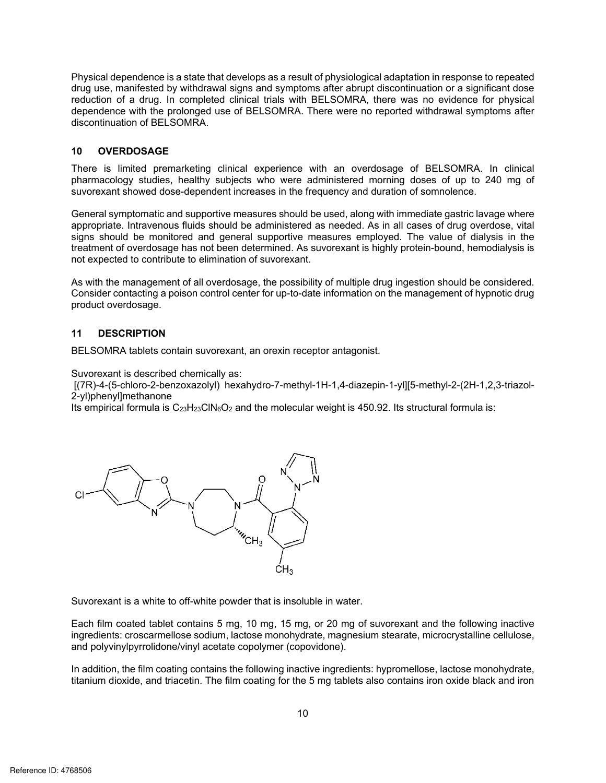Physical dependence is a state that develops as a result of physiological adaptation in response to repeated drug use, manifested by withdrawal signs and symptoms after abrupt discontinuation or a significant dose reduction of a drug. In completed clinical trials with BELSOMRA, there was no evidence for physical dependence with the prolonged use of BELSOMRA. There were no reported withdrawal symptoms after discontinuation of BELSOMRA.

#### **10 OVERDOSAGE**

 There is limited premarketing clinical experience with an overdosage of BELSOMRA. In clinical pharmacology studies, healthy subjects who were administered morning doses of up to 240 mg of suvorexant showed dose-dependent increases in the frequency and duration of somnolence.

 signs should be monitored and general supportive measures employed. The value of dialysis in the General symptomatic and supportive measures should be used, along with immediate gastric lavage where appropriate. Intravenous fluids should be administered as needed. As in all cases of drug overdose, vital treatment of overdosage has not been determined. As suvorexant is highly protein-bound, hemodialysis is not expected to contribute to elimination of suvorexant.

As with the management of all overdosage, the possibility of multiple drug ingestion should be considered. Consider contacting a poison control center for up-to-date information on the management of hypnotic drug product overdosage.

## **11 DESCRIPTION**

BELSOMRA tablets contain suvorexant, an orexin receptor antagonist.

Suvorexant is described chemically as:

 [(7R)-4-(5-chloro-2-benzoxazolyl) hexahydro-7-methyl-1H-1,4-diazepin-1-yl][5-methyl-2-(2H-1,2,3-triazol-2-yl)phenyl]methanone

Its empirical formula is  $C_{23}H_{23}CIN_6O_2$  and the molecular weight is 450.92. Its structural formula is:



Suvorexant is a white to off-white powder that is insoluble in water.

Each film coated tablet contains 5 mg, 10 mg, 15 mg, or 20 mg of suvorexant and the following inactive ingredients: croscarmellose sodium, lactose monohydrate, magnesium stearate, microcrystalline cellulose, and polyvinylpyrrolidone/vinyl acetate copolymer (copovidone).

 In addition, the film coating contains the following inactive ingredients: hypromellose, lactose monohydrate, titanium dioxide, and triacetin. The film coating for the 5 mg tablets also contains iron oxide black and iron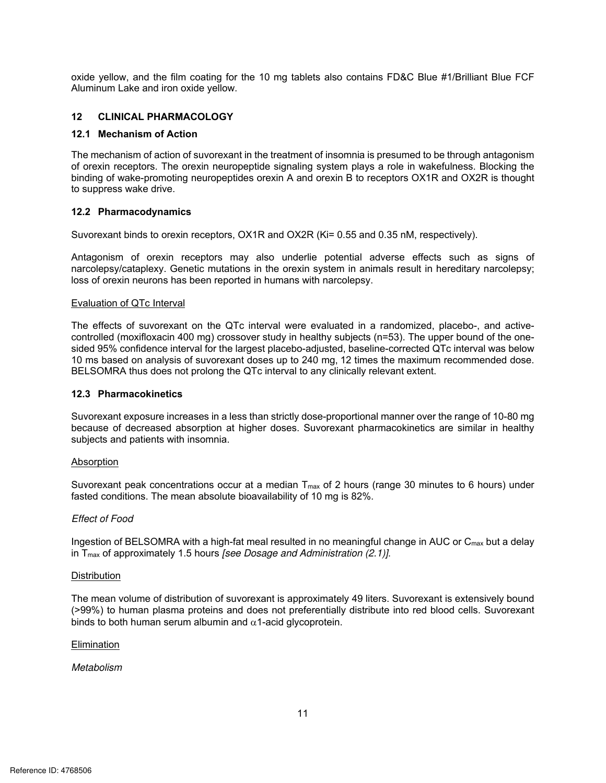oxide yellow, and the film coating for the 10 mg tablets also contains FD&C Blue #1/Brilliant Blue FCF Aluminum Lake and iron oxide yellow.

#### $12$ **12 CLINICAL PHARMACOLOGY**

#### **12.1 Mechanism of Action**

 The mechanism of action of suvorexant in the treatment of insomnia is presumed to be through antagonism of orexin receptors. The orexin neuropeptide signaling system plays a role in wakefulness. Blocking the binding of wake-promoting neuropeptides orexin A and orexin B to receptors OX1R and OX2R is thought to suppress wake drive.

## **12.2 Pharmacodynamics**

Suvorexant binds to orexin receptors, OX1R and OX2R (Ki= 0.55 and 0.35 nM, respectively).

Suvorexant binds to orexin receptors, OX1R and OX2R (Ki= 0.55 and 0.35 nM, respectively).<br>Antagonism of orexin receptors may also underlie potential adverse effects such as signs of<br>narcolepsy/cataplexy. Genetic mutations Antagonism of orexin receptors may also underlie potential adverse effects such as signs of narcolepsy/cataplexy. Genetic mutations in the orexin system in animals result in hereditary narcolepsy; loss of orexin neurons has been reported in humans with narcolepsy.

#### Evaluation of QTc Interval

 The effects of suvorexant on the QTc interval were evaluated in a randomized, placebo-, and active- controlled (moxifloxacin 400 mg) crossover study in healthy subjects (n=53). The upper bound of the one- sided 95% confidence interval for the largest placebo-adjusted, baseline-corrected QTc interval was below 10 ms based on analysis of suvorexant doses up to 240 mg, 12 times the maximum recommended dose. BELSOMRA thus does not prolong the QTc interval to any clinically relevant extent.

#### **12.3 Pharmacokinetics**

Suvorexant exposure increases in a less than strictly dose-proportional manner over the range of 10-80 mg because of decreased absorption at higher doses. Suvorexant pharmacokinetics are similar in healthy subjects and patients with insomnia.

#### Absorption

Suvorexant peak concentrations occur at a median  $T_{\text{max}}$  of 2 hours (range 30 minutes to 6 hours) under fasted conditions. The mean absolute bioavailability of 10 mg is 82%.

#### Effect of Food

Ingestion of BELSOMRA with a high-fat meal resulted in no meaningful change in AUC or  $\mathsf{C}_{\mathsf{max}}$  but a delay in  $T_{max}$  of approximately 1.5 hours *[see Dosage and Administration (2.1)]*.

#### **Distribution**

 (>99%) to human plasma proteins and does not preferentially distribute into red blood cells. Suvorexant binds to both human serum albumin and  $\alpha$ 1-acid glycoprotein. The mean volume of distribution of suvorexant is approximately 49 liters. Suvorexant is extensively bound

#### Elimination

#### Metabolism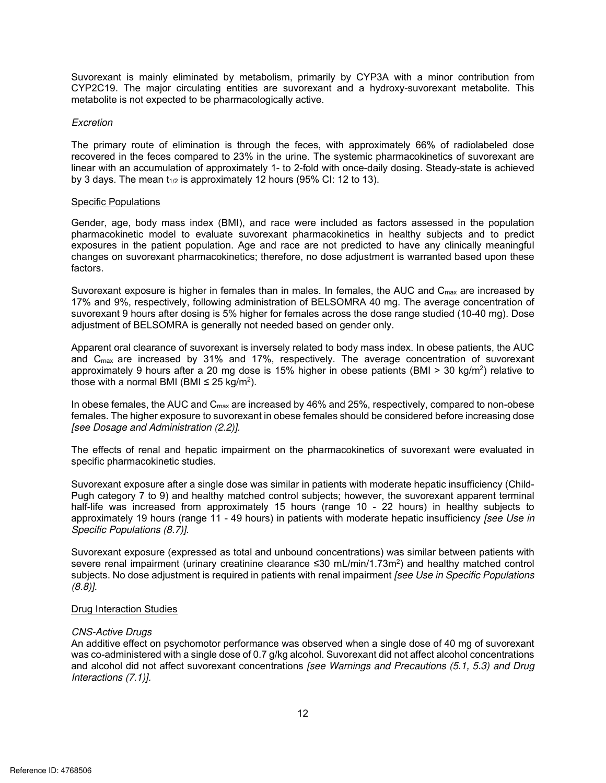Suvorexant is mainly eliminated by metabolism, primarily by CYP3A with a minor contribution from CYP2C19. The major circulating entities are suvorexant and a hydroxy-suvorexant metabolite. This metabolite is not expected to be pharmacologically active.

#### **Excretion**

 The primary route of elimination is through the feces, with approximately 66% of radiolabeled dose linear with an accumulation of approximately 1- to 2-fold with once-daily dosing. Steady-state is achieved recovered in the feces compared to 23% in the urine. The systemic pharmacokinetics of suvorexant are by 3 days. The mean  $t_{1/2}$  is approximately 12 hours (95% CI: 12 to 13).

#### Specific Populations

 exposures in the patient population. Age and race are not predicted to have any clinically meaningful Gender, age, body mass index (BMI), and race were included as factors assessed in the population pharmacokinetic model to evaluate suvorexant pharmacokinetics in healthy subjects and to predict changes on suvorexant pharmacokinetics; therefore, no dose adjustment is warranted based upon these factors.

Suvorexant exposure is higher in females than in males. In females, the AUC and  $C_{\sf max}$  are increased by 17% and 9%, respectively, following administration of BELSOMRA 40 mg. The average concentration of suvorexant 9 hours after dosing is 5% higher for females across the dose range studied (10-40 mg). Dose adjustment of BELSOMRA is generally not needed based on gender only.

 and Cmax are increased by 31% and 17%, respectively. The average concentration of suvorexant approximately 9 hours after a 20 mg dose is 15% higher in obese patients (BMI > 30 kg/m<sup>2</sup>) relative to Apparent oral clearance of suvorexant is inversely related to body mass index. In obese patients, the AUC those with a normal BMI (BMI ≤ 25 kg/m<sup>2</sup>).

In obese females, the AUC and  $C_{\text{max}}$  are increased by 46% and 25%, respectively, compared to non-obese females. The higher exposure to suvorexant in obese females should be considered before increasing dose [see Dosage and Administration (2.2)].

The effects of renal and hepatic impairment on the pharmacokinetics of suvorexant were evaluated in specific pharmacokinetic studies.

 Suvorexant exposure after a single dose was similar in patients with moderate hepatic insufficiency (Child- half-life was increased from approximately 15 hours (range 10 - 22 hours) in healthy subjects to Pugh category 7 to 9) and healthy matched control subjects; however, the suvorexant apparent terminal approximately 19 hours (range 11 - 49 hours) in patients with moderate hepatic insufficiency [see Use in Specific Populations (8.7)].

wimately 15 hours (range 10 - 22 hours) in healthy subjects to<br>49 hours) in patients with moderate hepatic insufficiency [see Use in<br>total and unbound concentrations) was similar between patients with<br>beatinine clearance Suvorexant exposure (expressed as total and unbound concentrations) was similar between patients with severe renal impairment (urinary creatinine clearance ≤30 mL/min/1.73m<sup>2</sup>) and healthy matched control subjects. No dose adjustment is required in patients with renal impairment [see Use in Specific Populations (8.8)].

#### **Drug Interaction Studies**

#### CNS-Active Drugs

 was co-administered with a single dose of 0.7 g/kg alcohol. Suvorexant did not affect alcohol concentrations An additive effect on psychomotor performance was observed when a single dose of 40 mg of suvorexant and alcohol did not affect suvorexant concentrations [see Warnings and Precautions (5.1, 5.3) and Drug Interactions (7.1)].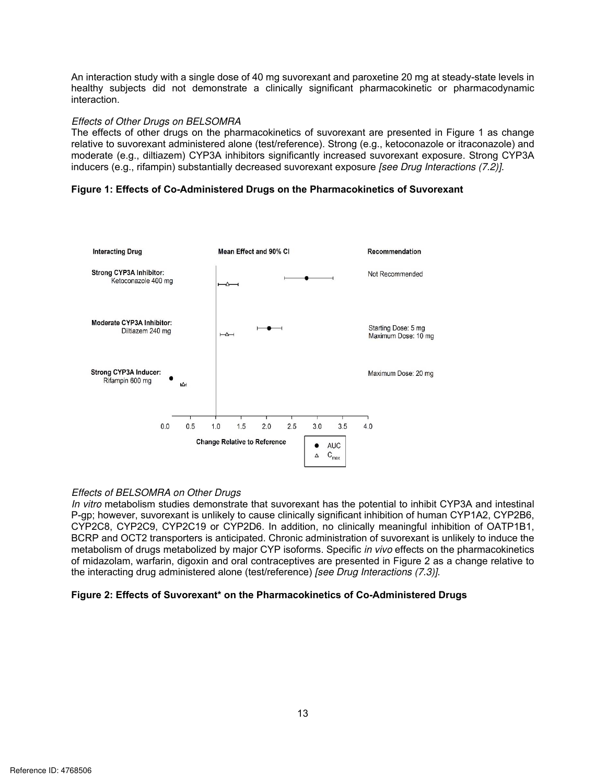An interaction study with a single dose of 40 mg suvorexant and paroxetine 20 mg at steady-state levels in<br>nealthy subjects did not demonstrate a clinically significant pharmacokinetic or pharmacodynamic<br>Effects of Other D An interaction study with a single dose of 40 mg suvorexant and paroxetine 20 mg at steady-state levels in healthy subjects did not demonstrate a clinically significant pharmacokinetic or pharmacodynamic interaction.

#### Effects of Other Drugs on BELSOMRA

 The effects of other drugs on the pharmacokinetics of suvorexant are presented in Figure 1 as change relative to suvorexant administered alone (test/reference). Strong (e.g., ketoconazole or itraconazole) and moderate (e.g., diltiazem) CYP3A inhibitors significantly increased suvorexant exposure. Strong CYP3A inducers (e.g., rifampin) substantially decreased suvorexant exposure [see Drug Interactions (7.2)].

#### **Figure 1: Effects of Co-Administered Drugs on the Pharmacokinetics of Suvorexant**



## Effects of BELSOMRA on Other Drugs

In vitro metabolism studies demonstrate that suvorexant has the potential to inhibit CYP3A and intestinal BCRP and OCT2 transporters is anticipated. Chronic administration of suvorexant is unlikely to induce the of midazolam, warfarin, digoxin and oral contraceptives are presented in Figure 2 as a change relative to P-gp; however, suvorexant is unlikely to cause clinically significant inhibition of human CYP1A2, CYP2B6, CYP2C8, CYP2C9, CYP2C19 or CYP2D6. In addition, no clinically meaningful inhibition of OATP1B1, metabolism of drugs metabolized by major CYP isoforms. Specific in vivo effects on the pharmacokinetics the interacting drug administered alone (test/reference) [see Drug Interactions (7.3)].

#### **Figure 2: Effects of Suvorexant\* on the Pharmacokinetics of Co-Administered Drugs**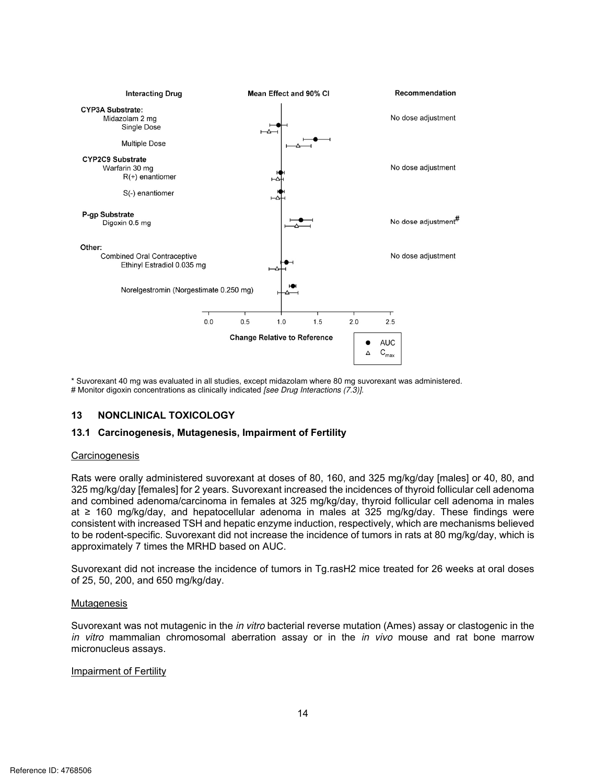

\* Suvorexant 40 mg was evaluated in all studies, except midazolam where 80 mg suvorexant was administered. # Monitor digoxin concentrations as clinically indicated [see Drug Interactions (7.3)].

#### **13 NONCLINICAL TOXICOLOGY**

#### **13.1 Carcinogenesis, Mutagenesis, Impairment of Fertility**

#### **Carcinogenesis**

 325 mg/kg/day [females] for 2 years. Suvorexant increased the incidences of thyroid follicular cell adenoma and combined adenoma/carcinoma in females at 325 mg/kg/day, thyroid follicular cell adenoma in males at ≥ 160 mg/kg/day, and hepatocellular adenoma in males at 325 mg/kg/day. These findings were approximately 7 times the MRHD based on AUC. Rats were orally administered suvorexant at doses of 80, 160, and 325 mg/kg/day [males] or 40, 80, and consistent with increased TSH and hepatic enzyme induction, respectively, which are mechanisms believed to be rodent-specific. Suvorexant did not increase the incidence of tumors in rats at 80 mg/kg/day, which is

 Suvorexant did not increase the incidence of tumors in Tg.rasH2 mice treated for 26 weeks at oral doses of 25, 50, 200, and 650 mg/kg/day.

#### **Mutagenesis**

Suvorexant was not mutagenic in the *in vitro* bacterial reverse mutation (Ames) assay or clastogenic in the in vitro mammalian chromosomal aberration assay or in the in vivo mouse and rat bone marrow micronucleus assays.

#### Impairment of Fertility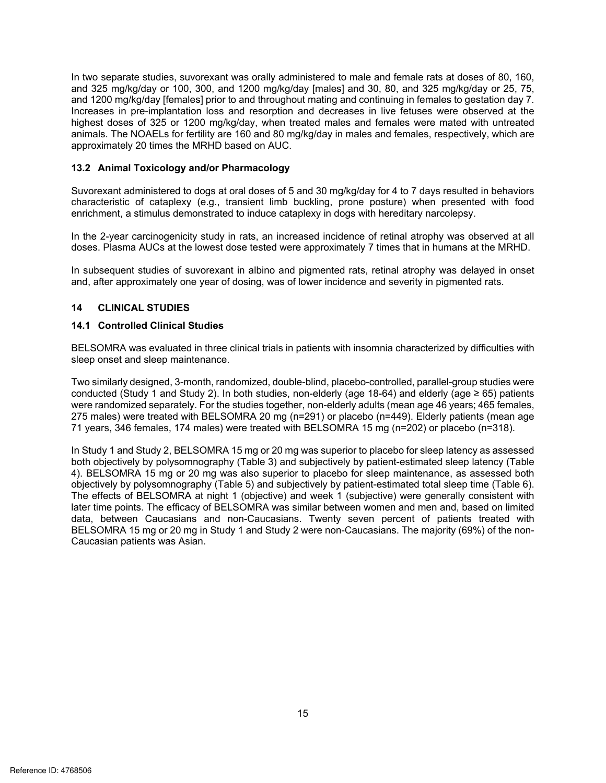and 1200 mg/kg/day [females] prior to and throughout mating and continuing in females to gestation day 7. highest doses of 325 or 1200 mg/kg/day, when treated males and females were mated with untreated animals. The NOAELs for fertility are 160 and 80 mg/kg/day in males and females, respectively, which are In two separate studies, suvorexant was orally administered to male and female rats at doses of 80, 160, and 325 mg/kg/day or 100, 300, and 1200 mg/kg/day [males] and 30, 80, and 325 mg/kg/day or 25, 75, Increases in pre-implantation loss and resorption and decreases in live fetuses were observed at the approximately 20 times the MRHD based on AUC.

#### **13.2 Animal Toxicology and/or Pharmacology**

 Suvorexant administered to dogs at oral doses of 5 and 30 mg/kg/day for 4 to 7 days resulted in behaviors characteristic of cataplexy (e.g., transient limb buckling, prone posture) when presented with food enrichment, a stimulus demonstrated to induce cataplexy in dogs with hereditary narcolepsy.

 In the 2-year carcinogenicity study in rats, an increased incidence of retinal atrophy was observed at all doses. Plasma AUCs at the lowest dose tested were approximately 7 times that in humans at the MRHD.

In subsequent studies of suvorexant in albino and pigmented rats, retinal atrophy was delayed in onset and, after approximately one year of dosing, was of lower incidence and severity in pigmented rats.

#### $14$ **14 CLINICAL STUDIES**

#### **14.1 Controlled Clinical Studies**

BELSOMRA was evaluated in three clinical trials in patients with insomnia characterized by difficulties with sleep onset and sleep maintenance.

 Two similarly designed, 3-month, randomized, double-blind, placebo-controlled, parallel-group studies were conducted (Study 1 and Study 2). In both studies, non-elderly (age 18-64) and elderly (age ≥ 65) patients were randomized separately. For the studies together, non-elderly adults (mean age 46 years; 465 females, 275 males) were treated with BELSOMRA 20 mg (n=291) or placebo (n=449). Elderly patients (mean age 71 years, 346 females, 174 males) were treated with BELSOMRA 15 mg (n=202) or placebo (n=318).

 In Study 1 and Study 2, BELSOMRA 15 mg or 20 mg was superior to placebo for sleep latency as assessed both objectively by polysomnography (Table 3) and subjectively by patient-estimated sleep latency (Table The effects of BELSOMRA at night 1 (objective) and week 1 (subjective) were generally consistent with later time points. The efficacy of BELSOMRA was similar between women and men and, based on limited data, between Caucasians and non-Caucasians. Twenty seven percent of patients treated with BELSOMRA 15 mg or 20 mg in Study 1 and Study 2 were non-Caucasians. The majority (69%) of the non-4). BELSOMRA 15 mg or 20 mg was also superior to placebo for sleep maintenance, as assessed both objectively by polysomnography (Table 5) and subjectively by patient-estimated total sleep time (Table 6). Caucasian patients was Asian.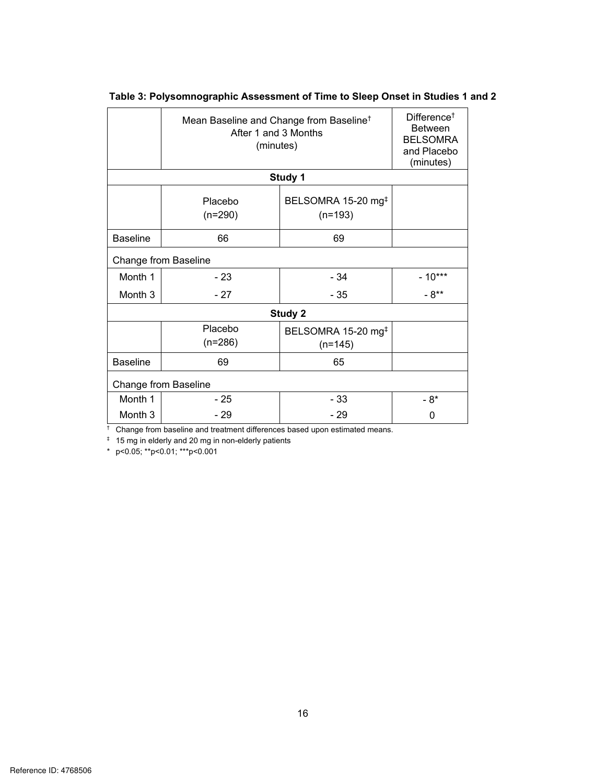|                 | Mean Baseline and Change from Baseline <sup>†</sup><br>After 1 and 3 Months<br>(minutes) |                                             | Difference <sup>+</sup><br><b>Between</b><br><b>BELSOMRA</b><br>and Placebo<br>(minutes) |
|-----------------|------------------------------------------------------------------------------------------|---------------------------------------------|------------------------------------------------------------------------------------------|
|                 |                                                                                          | Study 1                                     |                                                                                          |
|                 | Placebo<br>$(n=290)$                                                                     | BELSOMRA 15-20 mg <sup>‡</sup><br>$(n=193)$ |                                                                                          |
| <b>Baseline</b> | 66                                                                                       | 69                                          |                                                                                          |
|                 | Change from Baseline                                                                     |                                             |                                                                                          |
| Month 1         | - 23                                                                                     | $-34$                                       | $-10***$                                                                                 |
| Month 3         | $-27$                                                                                    | $-35$                                       | $-8**$                                                                                   |
|                 |                                                                                          | Study 2                                     |                                                                                          |
|                 | Placebo<br>$(n=286)$                                                                     | BELSOMRA 15-20 mg <sup>‡</sup><br>$(n=145)$ |                                                                                          |
| <b>Baseline</b> | 69                                                                                       | 65                                          |                                                                                          |
|                 | Change from Baseline                                                                     |                                             |                                                                                          |
| Month 1         | - 25                                                                                     | $-33$                                       | - 8*                                                                                     |
| Month 3         | $-29$                                                                                    | $-29$                                       | 0                                                                                        |

**Table 3: Polysomnographic Assessment of Time to Sleep Onset in Studies 1 and 2** 

<sup>†</sup> Change from baseline and treatment differences based upon estimated means.

‡ 15 mg in elderly and 20 mg in non-elderly patients

\* p<0.05; \*\*p<0.01; \*\*\*p<0.001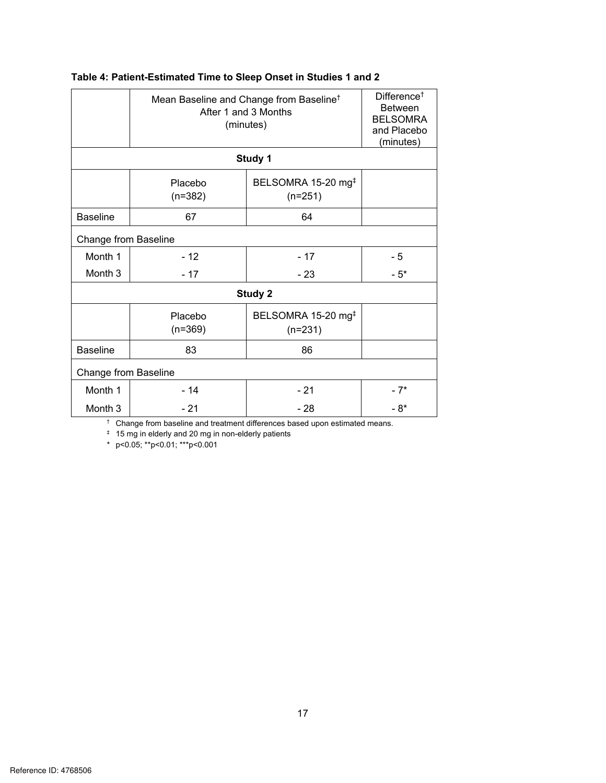|                      |                      | Mean Baseline and Change from Baseline <sup>†</sup><br>After 1 and 3 Months<br>(minutes) | Difference <sup><math>\dagger</math></sup><br><b>Between</b><br><b>BELSOMRA</b><br>and Placebo<br>(minutes) |
|----------------------|----------------------|------------------------------------------------------------------------------------------|-------------------------------------------------------------------------------------------------------------|
|                      |                      | Study 1                                                                                  |                                                                                                             |
|                      | Placebo<br>$(n=382)$ | BELSOMRA 15-20 mg <sup>‡</sup><br>$(n=251)$                                              |                                                                                                             |
| <b>Baseline</b>      | 67                   | 64                                                                                       |                                                                                                             |
| Change from Baseline |                      |                                                                                          |                                                                                                             |
| Month 1              | $-12$                | $-17$                                                                                    | - 5                                                                                                         |
| Month <sub>3</sub>   | $-17$                | $-23$                                                                                    | $-5*$                                                                                                       |
|                      |                      | Study 2                                                                                  |                                                                                                             |
|                      | Placebo<br>$(n=369)$ | BELSOMRA 15-20 mg <sup>‡</sup><br>$(n=231)$                                              |                                                                                                             |
| <b>Baseline</b>      | 83                   | 86                                                                                       |                                                                                                             |
| Change from Baseline |                      |                                                                                          |                                                                                                             |
| Month 1              | $-14$                | $-21$                                                                                    | - 7*                                                                                                        |
| Month 3              | - 21                 | - 28                                                                                     | - 8*                                                                                                        |

# **Table 4: Patient-Estimated Time to Sleep Onset in Studies 1 and 2**

† Change from baseline and treatment differences based upon estimated means.

‡ 15 mg in elderly and 20 mg in non-elderly patients

\* p<0.05; \*\*p<0.01; \*\*\*p<0.001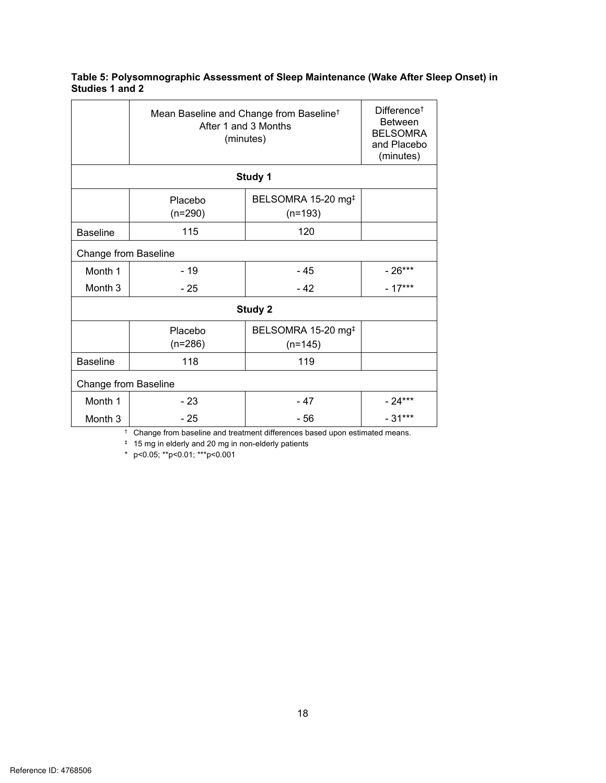# **Table 5: Polysomnographic Assessment of Sleep Maintenance (Wake After Sleep Onset) in Studies 1 and 2**

|                      | Mean Baseline and Change from Baseline <sup>†</sup><br>After 1 and 3 Months<br>(minutes) |                                             | Difference <sup><math>\dagger</math></sup><br><b>Between</b><br><b>BELSOMRA</b><br>and Placebo<br>(minutes) |
|----------------------|------------------------------------------------------------------------------------------|---------------------------------------------|-------------------------------------------------------------------------------------------------------------|
|                      |                                                                                          | Study 1                                     |                                                                                                             |
|                      | Placebo<br>$(n=290)$                                                                     | BELSOMRA 15-20 mg <sup>‡</sup><br>$(n=193)$ |                                                                                                             |
| <b>Baseline</b>      | 115                                                                                      | 120                                         |                                                                                                             |
| Change from Baseline |                                                                                          |                                             |                                                                                                             |
| Month 1              | - 19                                                                                     | - 45                                        | $-26***$                                                                                                    |
| Month 3              | - 25                                                                                     | $-42$                                       | $-17***$                                                                                                    |
|                      |                                                                                          | Study 2                                     |                                                                                                             |
|                      | Placebo<br>$(n=286)$                                                                     | BELSOMRA 15-20 mg <sup>‡</sup><br>$(n=145)$ |                                                                                                             |
| <b>Baseline</b>      | 118                                                                                      | 119                                         |                                                                                                             |
| Change from Baseline |                                                                                          |                                             |                                                                                                             |
| Month 1              | - 23                                                                                     | - 47                                        | $-24***$                                                                                                    |
| Month 3              | - 25                                                                                     | - 56                                        | $-31***$                                                                                                    |

† Change from baseline and treatment differences based upon estimated means.

‡ 15 mg in elderly and 20 mg in non-elderly patients

\* p<0.05; \*\*p<0.01; \*\*\*p<0.001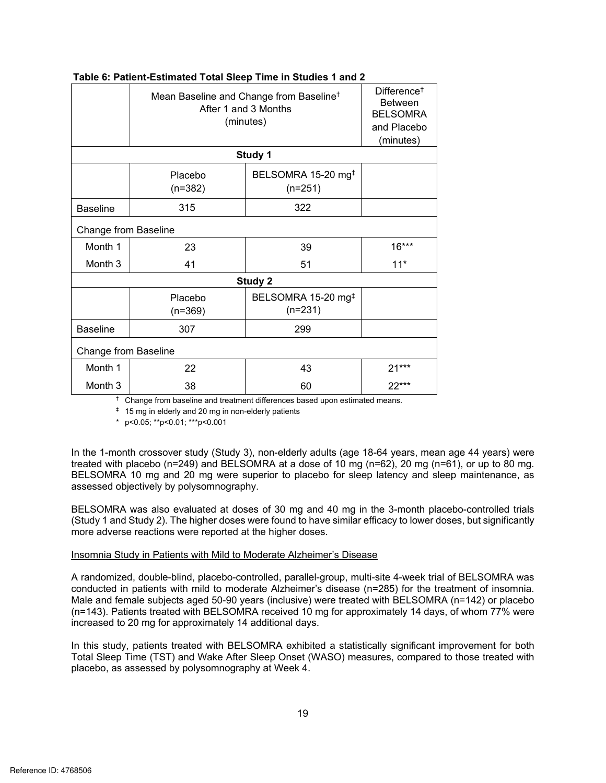|                      | Mean Baseline and Change from Baseline <sup>†</sup><br>After 1 and 3 Months<br>(minutes) |                                             | Difference <sup>+</sup><br><b>Between</b><br><b>BELSOMRA</b><br>and Placebo<br>(minutes) |
|----------------------|------------------------------------------------------------------------------------------|---------------------------------------------|------------------------------------------------------------------------------------------|
|                      |                                                                                          | Study 1                                     |                                                                                          |
|                      | Placebo<br>$(n=382)$                                                                     | BELSOMRA 15-20 mg <sup>‡</sup><br>$(n=251)$ |                                                                                          |
| <b>Baseline</b>      | 315                                                                                      | 322                                         |                                                                                          |
| Change from Baseline |                                                                                          |                                             |                                                                                          |
| Month 1              | 23                                                                                       | 39                                          | $16***$                                                                                  |
| Month 3              | 41                                                                                       | 51                                          | $11*$                                                                                    |
|                      |                                                                                          | Study 2                                     |                                                                                          |
|                      | Placebo<br>$(n=369)$                                                                     | BELSOMRA 15-20 mg <sup>‡</sup><br>$(n=231)$ |                                                                                          |
| <b>Baseline</b>      | 307                                                                                      | 299                                         |                                                                                          |
| Change from Baseline |                                                                                          |                                             |                                                                                          |
| Month 1              | 22                                                                                       | 43                                          | $21***$                                                                                  |
| Month 3              | 38                                                                                       | 60                                          | $22***$                                                                                  |

## **Table 6: Patient-Estimated Total Sleep Time in Studies 1 and 2**

<sup>†</sup> Change from baseline and treatment differences based upon estimated means.

‡ 15 mg in elderly and 20 mg in non-elderly patients

\* p<0.05; \*\*p<0.01; \*\*\*p<0.001

 In the 1-month crossover study (Study 3), non-elderly adults (age 18-64 years, mean age 44 years) were treated with placebo (n=249) and BELSOMRA at a dose of 10 mg (n=62), 20 mg (n=61), or up to 80 mg. BELSOMRA 10 mg and 20 mg were superior to placebo for sleep latency and sleep maintenance, as assessed objectively by polysomnography.

 BELSOMRA was also evaluated at doses of 30 mg and 40 mg in the 3-month placebo-controlled trials (Study 1 and Study 2). The higher doses were found to have similar efficacy to lower doses, but significantly more adverse reactions were reported at the higher doses.

#### Insomnia Study in Patients with Mild to Moderate Alzheimer's Disease

 conducted in patients with mild to moderate Alzheimer's disease (n=285) for the treatment of insomnia. (n=143). Patients treated with BELSOMRA received 10 mg for approximately 14 days, of whom 77% were A randomized, double-blind, placebo-controlled, parallel-group, multi-site 4-week trial of BELSOMRA was Male and female subjects aged 50-90 years (inclusive) were treated with BELSOMRA (n=142) or placebo increased to 20 mg for approximately 14 additional days.

 In this study, patients treated with BELSOMRA exhibited a statistically significant improvement for both Total Sleep Time (TST) and Wake After Sleep Onset (WASO) measures, compared to those treated with placebo, as assessed by polysomnography at Week 4.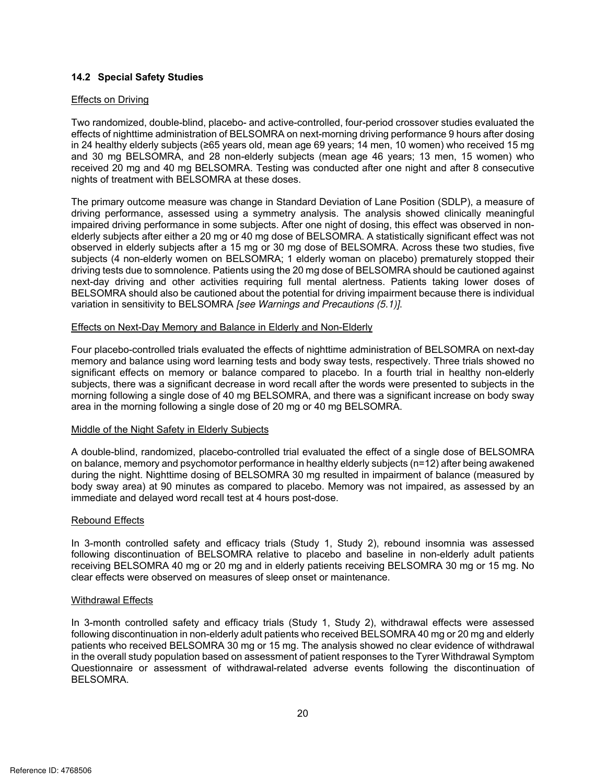#### **14.2 Special Safety Studies**

#### Effects on Driving

 effects of nighttime administration of BELSOMRA on next-morning driving performance 9 hours after dosing in 24 healthy elderly subjects (≥65 years old, mean age 69 years; 14 men, 10 women) who received 15 mg and 30 mg BELSOMRA, and 28 non-elderly subjects (mean age 46 years; 13 men, 15 women) who received 20 mg and 40 mg BELSOMRA. Testing was conducted after one night and after 8 consecutive Two randomized, double-blind, placebo- and active-controlled, four-period crossover studies evaluated the nights of treatment with BELSOMRA at these doses.

 elderly subjects after either a 20 mg or 40 mg dose of BELSOMRA. A statistically significant effect was not observed in elderly subjects after a 15 mg or 30 mg dose of BELSOMRA. Across these two studies, five subjects (4 non-elderly women on BELSOMRA; 1 elderly woman on placebo) prematurely stopped their next-day driving and other activities requiring full mental alertness. Patients taking lower doses of The primary outcome measure was change in Standard Deviation of Lane Position (SDLP), a measure of driving performance, assessed using a symmetry analysis. The analysis showed clinically meaningful impaired driving performance in some subjects. After one night of dosing, this effect was observed in nondriving tests due to somnolence. Patients using the 20 mg dose of BELSOMRA should be cautioned against BELSOMRA should also be cautioned about the potential for driving impairment because there is individual variation in sensitivity to BELSOMRA [see Warnings and Precautions (5.1)].

#### Effects on Next-Day Memory and Balance in Elderly and Non-Elderly

 memory and balance using word learning tests and body sway tests, respectively. Three trials showed no Four placebo-controlled trials evaluated the effects of nighttime administration of BELSOMRA on next-day significant effects on memory or balance compared to placebo. In a fourth trial in healthy non-elderly subjects, there was a significant decrease in word recall after the words were presented to subjects in the morning following a single dose of 40 mg BELSOMRA, and there was a significant increase on body sway area in the morning following a single dose of 20 mg or 40 mg BELSOMRA.

#### Middle of the Night Safety in Elderly Subjects

 on balance, memory and psychomotor performance in healthy elderly subjects (n=12) after being awakened during the night. Nighttime dosing of BELSOMRA 30 mg resulted in impairment of balance (measured by body sway area) at 90 minutes as compared to placebo. Memory was not impaired, as assessed by an A double-blind, randomized, placebo-controlled trial evaluated the effect of a single dose of BELSOMRA immediate and delayed word recall test at 4 hours post-dose.

#### Rebound Effects

 In 3-month controlled safety and efficacy trials (Study 1, Study 2), rebound insomnia was assessed following discontinuation of BELSOMRA relative to placebo and baseline in non-elderly adult patients receiving BELSOMRA 40 mg or 20 mg and in elderly patients receiving BELSOMRA 30 mg or 15 mg. No clear effects were observed on measures of sleep onset or maintenance.

#### Withdrawal Effects

 patients who received BELSOMRA 30 mg or 15 mg. The analysis showed no clear evidence of withdrawal In 3-month controlled safety and efficacy trials (Study 1, Study 2), withdrawal effects were assessed following discontinuation in non-elderly adult patients who received BELSOMRA 40 mg or 20 mg and elderly in the overall study population based on assessment of patient responses to the Tyrer Withdrawal Symptom Questionnaire or assessment of withdrawal-related adverse events following the discontinuation of BELSOMRA.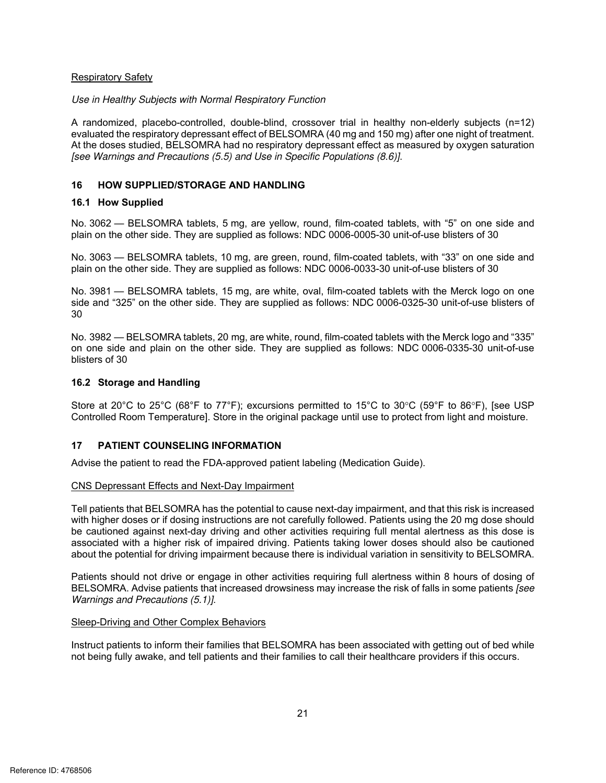#### Respiratory Safety

#### Use in Healthy Subjects with Normal Respiratory Function

 A randomized, placebo-controlled, double-blind, crossover trial in healthy non-elderly subjects (n=12) At the doses studied, BELSOMRA had no respiratory depressant effect as measured by oxygen saturation evaluated the respiratory depressant effect of BELSOMRA (40 mg and 150 mg) after one night of treatment. [see Warnings and Precautions (5.5) and Use in Specific Populations (8.6)].

#### **16 HOW SUPPLIED/STORAGE AND HANDLING**

#### **16.1 How Supplied**

No. 3062 — BELSOMRA tablets, 5 mg, are yellow, round, film-coated tablets, with "5" on one side and plain on the other side. They are supplied as follows: NDC 0006-0005-30 unit-of-use blisters of 30

plain on the other side. They are supplied as follows: NDC 0006-0033-30 unit-of-use blisters of 30 No. 3063 — BELSOMRA tablets, 10 mg, are green, round, film-coated tablets, with "33" on one side and

 side and "325" on the other side. They are supplied as follows: NDC 0006-0325-30 unit-of-use blisters of No. 3981 — BELSOMRA tablets, 15 mg, are white, oval, film-coated tablets with the Merck logo on one 30

 on one side and plain on the other side. They are supplied as follows: NDC 0006-0335-30 unit-of-use No. 3982 — BELSOMRA tablets, 20 mg, are white, round, film-coated tablets with the Merck logo and "335" blisters of 30

## **16.2 Storage and Handling**

Store at 20°C to 25°C (68°F to 77°F); excursions permitted to 15°C to 30°C (59°F to 86°F), [see USP Controlled Room Temperature]. Store in the original package until use to protect from light and moisture.

#### **17 PATIENT COUNSELING INFORMATION**

Advise the patient to read the FDA-approved patient labeling (Medication Guide).

#### CNS Depressant Effects and Next-Day Impairment

 about the potential for driving impairment because there is individual variation in sensitivity to BELSOMRA. Tell patients that BELSOMRA has the potential to cause next-day impairment, and that this risk is increased with higher doses or if dosing instructions are not carefully followed. Patients using the 20 mg dose should be cautioned against next-day driving and other activities requiring full mental alertness as this dose is associated with a higher risk of impaired driving. Patients taking lower doses should also be cautioned

 Patients should not drive or engage in other activities requiring full alertness within 8 hours of dosing of BELSOMRA. Advise patients that increased drowsiness may increase the risk of falls in some patients [see Warnings and Precautions (5.1)].

#### Sleep-Driving and Other Complex Behaviors

Instruct patients to inform their families that BELSOMRA has been associated with getting out of bed while not being fully awake, and tell patients and their families to call their healthcare providers if this occurs.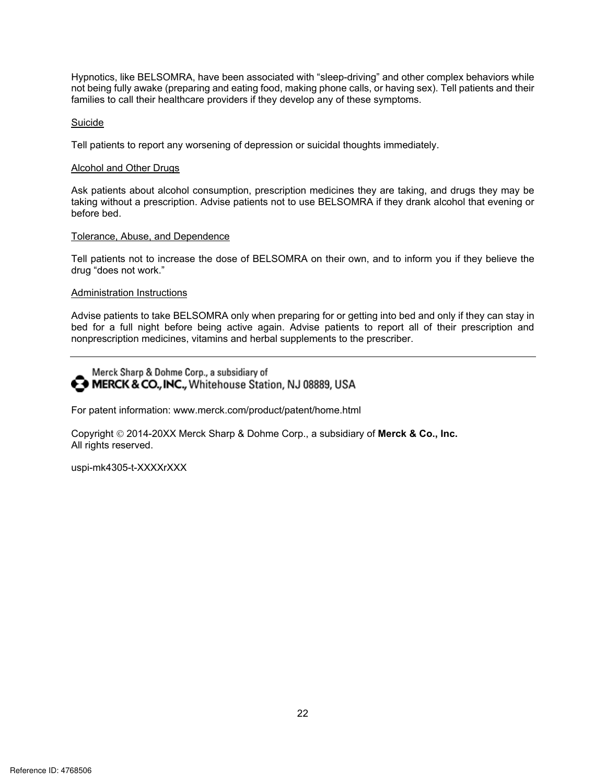not being fully awake (preparing and eating food, making phone calls, or having sex). Tell patients and their Hypnotics, like BELSOMRA, have been associated with "sleep-driving" and other complex behaviors while families to call their healthcare providers if they develop any of these symptoms.

#### Suicide

Tell patients to report any worsening of depression or suicidal thoughts immediately.

#### Alcohol and Other Drugs

 Ask patients about alcohol consumption, prescription medicines they are taking, and drugs they may be taking without a prescription. Advise patients not to use BELSOMRA if they drank alcohol that evening or before bed.

#### Tolerance, Abuse, and Dependence

Tell patients not to increase the dose of BELSOMRA on their own, and to inform you if they believe the drug "does not work."

#### Administration Instructions

 Advise patients to take BELSOMRA only when preparing for or getting into bed and only if they can stay in bed for a full night before being active again. Advise patients to report all of their prescription and nonprescription medicines, vitamins and herbal supplements to the prescriber.

Merck Sharp & Dohme Corp., a subsidiary of MERCK & CO., INC., Whitehouse Station, NJ 08889, USA

For patent information: www.merck.com/product/patent/home.html

Copyright © 2014-20XX Merck Sharp & Dohme Corp., a subsidiary of Merck & Co., Inc. All rights reserved.

uspi-mk4305-t-XXXXrXXX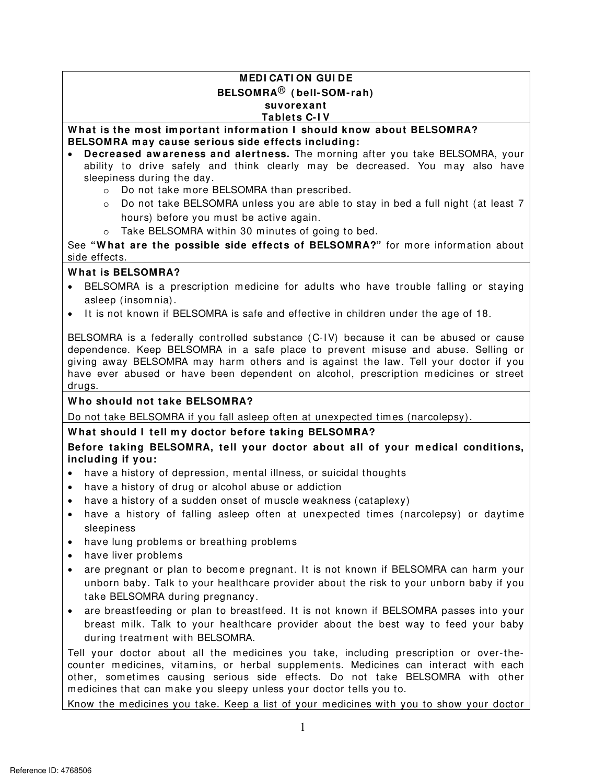# **MEDI CATI ON GUI DE BELSOMRA**® **( bell- SOM- rah) suvorexant Tablets C- I V**

**about BELSOMRA?**<br> *Azy YOU TAKE RELSOMRA YOUT* **W hat is the m ost im portant inform ation I should know about BELSOMRA? BELSOMRA m ay cause serious side effects including:** 

- ability to drive safely and think clearly may be decreased. You may also have<br>sleepiness during the day. **• Decreased aw areness and alertness.** The morning after you take BELSOMRA, your
	- o Do not take m ore BELSOMRA than prescribed.
	- <sup>o</sup> Do not take BELSOMRA unless you are able to stay in bed a full night (at least 7 hours) before you must be active again. hours) before you must be active again.
	- o Take BELSOMRA within 30 minutes of going to bed.

See **"W hat are the possible side effects of BELSOMRA?"** for more inform ation about side effects.

# **W hat is BELSOMRA?**

- BELSOMRA is a prescription medicine for adults who have trouble falling or staying asleep (insom nia).
- It is not known if BELSOMRA is safe and effective in children under the age of 18.

 dependence. Keep BELSOMRA in a safe place to prevent misuse and abuse. Selling or BELSOMRA is a federally controlled substance (C-IV) because it can be abused or cause giving away BELSOMRA may harm others and is against the law. Tell your doctor if you have ever abused or have been dependent on alcohol, prescription medicines or street drugs.

# **W ho should not take BELSOMRA?**

Do not take BELSOMRA if you fall asleep often at unexpected times (narcolepsy).

# **W hat should I tell m y doctor before taking BELSOMRA?**

# Before taking BELSOMRA, tell your doctor about all of your medical conditions, **including if you:**

- have a history of depression, mental illness, or suicidal thoughts
- have a history of drug or alcohol abuse or addiction
- have a history of a sudden onset of muscle weakness (cataplexy)
- have a history of falling asleep often at unexpected times (narcolepsy) or daytime sleepiness
- have lung problems or breathing problems
- have liver problems
- are pregnant or plan to become pregnant. It is not known if BELSOMRA can harm your unborn baby. Talk to your healthcare provider about the risk to your unborn baby if you take BELSOMRA during pregnancy.
- are breastfeeding or plan to breastfeed. It is not known if BELSOMRA passes into your breast milk. Talk to your healthcare provider about the best way to feed your baby during treatment with BELSOMRA.

First your doctor about an the medicines you take, including prescription of over-the-<br>ounter medicines, vitamins, or herbal supplements. Medicines can interact with each<br>ther, sometimes causing serious side effects. Do no Tell your doctor about all the medicines you take, including prescription or over-thecounter medicines, vitamins, or herbal supplements. Medicines can interact with each other, sometimes causing serious side effects. Do not take BELSOMRA with other m edicines that can m ake you sleepy unless your doctor tells you to.

Know the m edicines you take. Keep a list of your medicines with you to show your doctor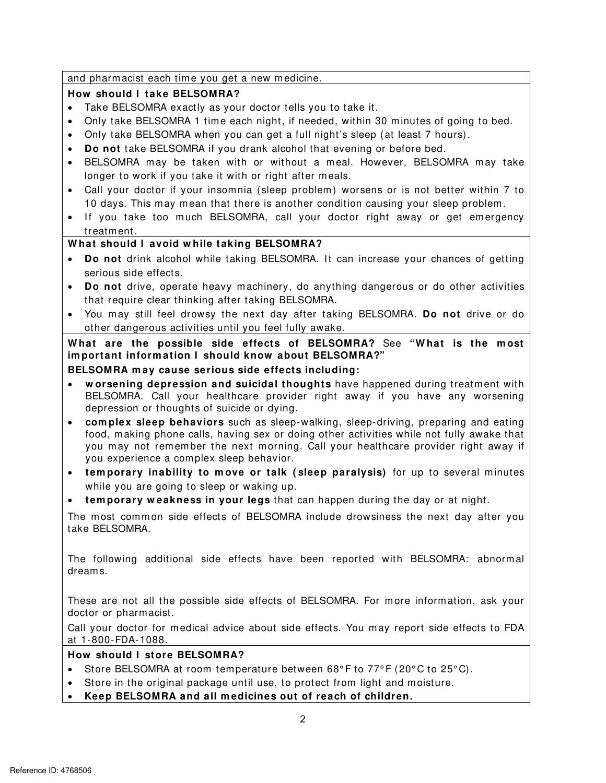and pharmacist each time you get a new medicine.

# **How should I take BELSOMRA?**

- Take BELSOMRA exactly as your doctor tells you to take it.
- nd pharmacist each time you get a new medicine.<br> **ow should I take BELSOMRA?**<br>
Take BELSOMRA exactly as your doctor tells you to take it.<br>
Only take BELSOMRA 1 time each night, if needed, within 30 minutes of going to bed. Only take BELSOMRA 1 time each night, if needed, within 30 minutes of going to bed.
- Only take BELSOMRA when you can get a full night's sleep (at least 7 hours).
- **Do not** take BELSOMRA if you drank alcohol that evening or before bed.
- BELSOMRA m ay be taken with or without a m eal. However, BELSOMRA m ay take longer to work if you take it with or right after m eals.
- Call your doctor if your insom nia (sleep problem ) worsens or is not better within 7 to 10 days. This m ay mean that there is another condition causing your sleep problem .
- If you take too much BELSOMRA, call your doctor right away or get emergency treatment.

# **W hat should I avoid w hile taking BELSOMRA?**

- **Do not** drink alcohol while taking BELSOMRA. It can increase your chances of getting serious side effects.
- **Do not** drive, operate heavy machinery, do anything dangerous or do other activities that require clear thinking after taking BELSOMRA.
- You m ay still feel drowsy the next day after taking BELSOMRA. **Do not** drive or do other dangerous activities until you feel fully awake.

**W hat are the possible side effects of BELSOMRA?** See **"W hat is the m ost im portant inform ation I should know about BELSOMRA?"** 

## **BELSOMRA m ay cause serious side effects including:**

- BELSOMRA. Call your healthcare provider right away if you have any worsening<br>depression or thoughts of suicide or dying. **w orsening depression and suicidal thoughts** have happened during treatment with
- **complex sleep behaviors** such as sleep-walking, sleep-driving, preparing and eating food, m aking phone calls, having sex or doing other activities while not fully awake that you may not remember the next morning. Call your healthcare provider right away if you experience a com plex sleep behavior.
- **•** temporary inability to move or talk (sleep paralysis) for up to several minutes while you are going to sleep or waking up.
- **tem porary w eakness in your legs** that can happen during the day or at night.

The most common side effects of BELSOMRA include drowsiness the next day after you take BELSOMRA.

The following additional side effects have been reported with BELSOMRA: abnormal dreams.

These are not all the possible side effects of BELSOMRA. For m ore inform ation, ask your doctor or pharm acist.

Call your doctor for medical advice about side effects. You may report side effects to FDA<br>at 1-800-FDA-1088.

## **How should I store BELSOMRA?**

- Store BELSOMRA at room temperature between 68° F to 77° F (20° C to 25° C).
- Store in the original package until use, to protect from light and m oisture.
- Keep BELSOMRA and all medicines out of reach of children.